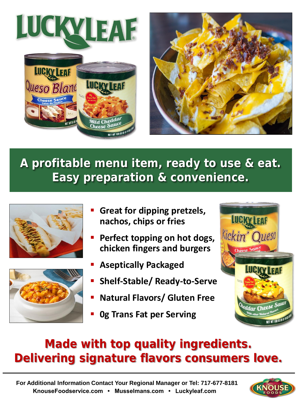



## **A profitable menu item, ready to use & eat. Easy preparation & convenience.**





- **Great for dipping pretzels, nachos, chips or fries**
- **Perfect topping on hot dogs, chicken fingers and burgers**
- **Aseptically Packaged**
- **Shelf-Stable/ Ready-to-Serve**
- **Natural Flavors/ Gluten Free**
- **0g Trans Fat per Serving**



## **Made with top quality ingredients. Delivering signature flavors consumers love.**